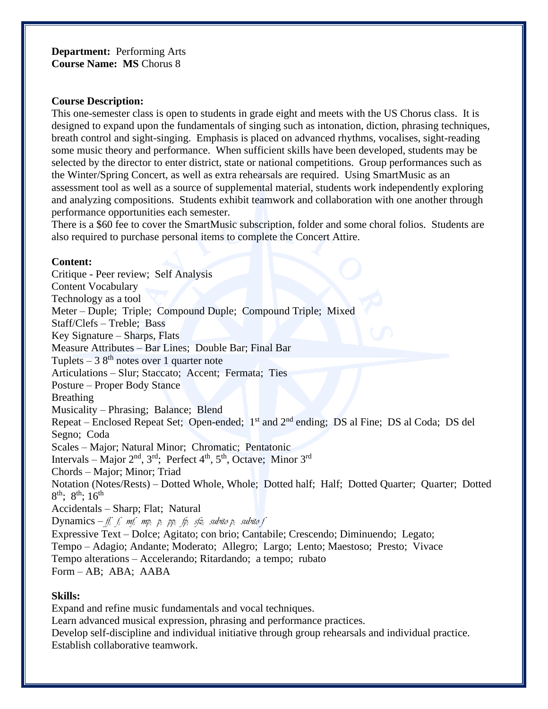**Department:** Performing Arts **Course Name: MS** Chorus 8

## **Course Description:**

This one-semester class is open to students in grade eight and meets with the US Chorus class. It is designed to expand upon the fundamentals of singing such as intonation, diction, phrasing techniques, breath control and sight-singing. Emphasis is placed on advanced rhythms, vocalises, sight-reading some music theory and performance. When sufficient skills have been developed, students may be selected by the director to enter district, state or national competitions. Group performances such as the Winter/Spring Concert, as well as extra rehearsals are required. Using SmartMusic as an assessment tool as well as a source of supplemental material, students work independently exploring and analyzing compositions. Students exhibit teamwork and collaboration with one another through performance opportunities each semester.

There is a \$60 fee to cover the SmartMusic subscription, folder and some choral folios. Students are also required to purchase personal items to complete the Concert Attire.

## **Content:**

Critique - Peer review; Self Analysis Content Vocabulary Technology as a tool Meter – Duple; Triple; Compound Duple; Compound Triple; Mixed Staff/Clefs – Treble; Bass Key Signature – Sharps, Flats Measure Attributes – Bar Lines; Double Bar; Final Bar Tuplets – 3  $8<sup>th</sup>$  notes over 1 quarter note Articulations – Slur; Staccato; Accent; Fermata; Ties Posture – Proper Body Stance Breathing Musicality – Phrasing; Balance; Blend Repeat – Enclosed Repeat Set; Open-ended; 1<sup>st</sup> and 2<sup>nd</sup> ending; DS al Fine; DS al Coda; DS del Segno; Coda Scales – Major; Natural Minor; Chromatic; Pentatonic Intervals – Major  $2<sup>nd</sup>$ ,  $3<sup>rd</sup>$ ; Perfect  $4<sup>th</sup>$ ,  $5<sup>th</sup>$ , Octave; Minor  $3<sup>rd</sup>$ Chords – Major; Minor; Triad Notation (Notes/Rests) – Dotted Whole, Whole; Dotted half; Half; Dotted Quarter; Quarter; Dotted 8<sup>th</sup>; 8<sup>th</sup>; 16<sup>th</sup> Accidentals – Sharp; Flat; Natural Dynamics – *ff; f; mf; mp; p; pp; fp; sfz; subito p; subito f* Expressive Text – Dolce; Agitato; con brio; Cantabile; Crescendo; Diminuendo; Legato; Tempo – Adagio; Andante; Moderato; Allegro; Largo; Lento; Maestoso; Presto; Vivace Tempo alterations – Accelerando; Ritardando; a tempo; rubato Form – AB; ABA; AABA

## **Skills:**

Expand and refine music fundamentals and vocal techniques.

Learn advanced musical expression, phrasing and performance practices.

Develop self-discipline and individual initiative through group rehearsals and individual practice. Establish collaborative teamwork.